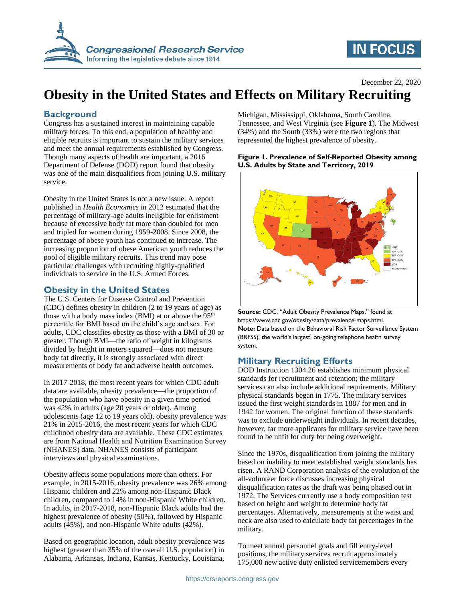

# **IN FOCUS**

December 22, 2020

## **Obesity in the United States and Effects on Military Recruiting**

## **Background**

Congress has a sustained interest in maintaining capable military forces. To this end, a population of healthy and eligible recruits is important to sustain the military services and meet the annual requirements established by Congress. Though many aspects of health are important, a 2016 Department of Defense (DOD) report found that obesity was one of the main disqualifiers from joining U.S. military service.

Obesity in the United States is not a new issue. A report published in *Health Economics* in 2012 estimated that the percentage of military-age adults ineligible for enlistment because of excessive body fat more than doubled for men and tripled for women during 1959-2008. Since 2008, the percentage of obese youth has continued to increase. The increasing proportion of obese American youth reduces the pool of eligible military recruits. This trend may pose particular challenges with recruiting highly-qualified individuals to service in the U.S. Armed Forces.

## **Obesity in the United States**

The U.S. Centers for Disease Control and Prevention (CDC) defines obesity in children (2 to 19 years of age) as those with a body mass index (BMI) at or above the  $95<sup>th</sup>$ percentile for BMI based on the child's age and sex. For adults, CDC classifies obesity as those with a BMI of 30 or greater. Though BMI—the ratio of weight in kilograms divided by height in meters squared—does not measure body fat directly, it is strongly associated with direct measurements of body fat and adverse health outcomes.

In 2017-2018, the most recent years for which CDC adult data are available, obesity prevalence—the proportion of the population who have obesity in a given time period was 42% in adults (age 20 years or older). Among adolescents (age 12 to 19 years old), obesity prevalence was 21% in 2015-2016, the most recent years for which CDC childhood obesity data are available. These CDC estimates are from National Health and Nutrition Examination Survey (NHANES) data. NHANES consists of participant interviews and physical examinations.

Obesity affects some populations more than others. For example, in 2015-2016, obesity prevalence was 26% among Hispanic children and 22% among non-Hispanic Black children, compared to 14% in non-Hispanic White children. In adults, in 2017-2018, non-Hispanic Black adults had the highest prevalence of obesity (50%), followed by Hispanic adults (45%), and non-Hispanic White adults (42%).

Based on geographic location, adult obesity prevalence was highest (greater than 35% of the overall U.S. population) in Alabama, Arkansas, Indiana, Kansas, Kentucky, Louisiana,

Michigan, Mississippi, Oklahoma, South Carolina, Tennessee, and West Virginia (see **Figure 1**). The Midwest (34%) and the South (33%) were the two regions that represented the highest prevalence of obesity.

### **Figure 1. Prevalence of Self-Reported Obesity among U.S. Adults by State and Territory, 2019**



**Source:** CDC, "Adult Obesity Prevalence Maps," found at https://www.cdc.gov/obesity/data/prevalence-maps.html. **Note:** Data based on the Behavioral Risk Factor Surveillance System (BRFSS), the world's largest, on-going telephone health survey system.

## **Military Recruiting Efforts**

DOD Instruction 1304.26 establishes minimum physical standards for recruitment and retention; the military services can also include additional requirements. Military physical standards began in 1775. The military services issued the first weight standards in 1887 for men and in 1942 for women. The original function of these standards was to exclude underweight individuals. In recent decades, however, far more applicants for military service have been found to be unfit for duty for being overweight.

Since the 1970s, disqualification from joining the military based on inability to meet established weight standards has risen. A RAND Corporation analysis of the evolution of the all-volunteer force discusses increasing physical disqualification rates as the draft was being phased out in 1972. The Services currently use a body composition test based on height and weight to determine body fat percentages. Alternatively, measurements at the waist and neck are also used to calculate body fat percentages in the military.

To meet annual personnel goals and fill entry-level positions, the military services recruit approximately 175,000 new active duty enlisted servicemembers every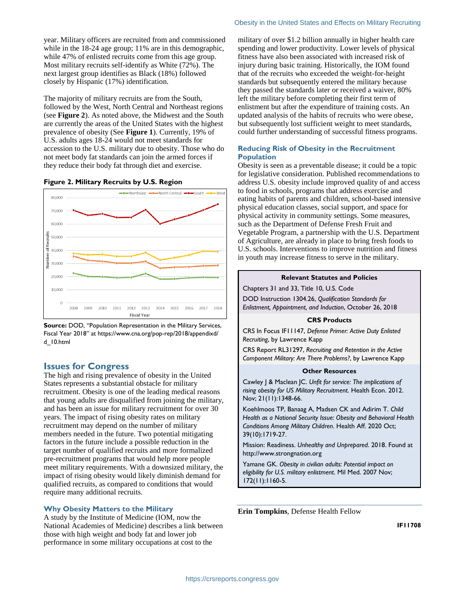year. Military officers are recruited from and commissioned while in the 18-24 age group; 11% are in this demographic, while 47% of enlisted recruits come from this age group. Most military recruits self-identify as White (72%). The next largest group identifies as Black (18%) followed closely by Hispanic (17%) identification.

The majority of military recruits are from the South, followed by the West, North Central and Northeast regions (see **Figure 2**). As noted above, the Midwest and the South are currently the areas of the United States with the highest prevalence of obesity (See **Figure 1**). Currently, 19% of U.S. adults ages 18-24 would not meet standards for accession to the U.S. military due to obesity. Those who do not meet body fat standards can join the armed forces if they reduce their body fat through diet and exercise.

#### **Figure 2. Military Recruits by U.S. Region**



**Source:** DOD, "Population Representation in the Military Services, Fiscal Year 2018" at https://www.cna.org/pop-rep/2018/appendixd/ d\_10.html

## **Issues for Congress**

The high and rising prevalence of obesity in the United States represents a substantial obstacle for military recruitment. Obesity is one of the leading medical reasons that young adults are disqualified from joining the military, and has been an issue for military recruitment for over 30 years. The impact of rising obesity rates on military recruitment may depend on the number of military members needed in the future. Two potential mitigating factors in the future include a possible reduction in the target number of qualified recruits and more formalized pre-recruitment programs that would help more people meet military requirements. With a downsized military, the impact of rising obesity would likely diminish demand for qualified recruits, as compared to conditions that would require many additional recruits.

#### **Why Obesity Matters to the Military**

A study by the Institute of Medicine (IOM, now the National Academies of Medicine) describes a link between those with high weight and body fat and lower job performance in some military occupations at cost to the

military of over \$1.2 billion annually in higher health care spending and lower productivity. Lower levels of physical fitness have also been associated with increased risk of injury during basic training. Historically, the IOM found that of the recruits who exceeded the weight-for-height standards but subsequently entered the military because they passed the standards later or received a waiver, 80% left the military before completing their first term of enlistment but after the expenditure of training costs. An updated analysis of the habits of recruits who were obese, but subsequently lost sufficient weight to meet standards, could further understanding of successful fitness programs.

### **Reducing Risk of Obesity in the Recruitment Population**

Obesity is seen as a preventable disease; it could be a topic for legislative consideration. Published recommendations to address U.S. obesity include improved quality of and access to food in schools, programs that address exercise and eating habits of parents and children, school-based intensive physical education classes, social support, and space for physical activity in community settings. Some measures, such as the Department of Defense Fresh Fruit and Vegetable Program, a partnership with the U.S. Department of Agriculture, are already in place to bring fresh foods to U.S. schools. Interventions to improve nutrition and fitness in youth may increase fitness to serve in the military.

#### **Relevant Statutes and Policies**

Chapters 31 and 33, Title 10, U.S. Code

DOD Instruction 1304.26, *Qualification Standards for Enlistment, Appointment, and Induction*, October 26, 2018

#### **CRS Products**

CRS In Focus IF11147, *Defense Primer: Active Duty Enlisted Recruiting*, by Lawrence Kapp

CRS Report RL31297, *Recruiting and Retention in the Active Component Military: Are There Problems?*, by Lawrence Kapp

#### **Other Resources**

Cawley J & Maclean JC. *Unfit for service: The implications of rising obesity for US Military Recruitment*. Health Econ. 2012. Nov; 21(11):1348-66.

Koehlmoos TP, Banaag A, Madsen CK and Adirim T. *Child Health as a National Security Issue: Obesity and Behavioral Health Conditions Among Military Children*. Health Aff. 2020 Oct; 39(10):1719-27.

Mission: Readiness. *Unhealthy and Unprepared*. 2018. Found at http://www.strongnation.org

Yamane GK. *Obesity in civilian adults: Potential impact on eligibility for U.S. military enlistment*. Mil Med. 2007 Nov; 172(11):1160-5.

**Erin Tompkins**, Defense Health Fellow

**IF11708**